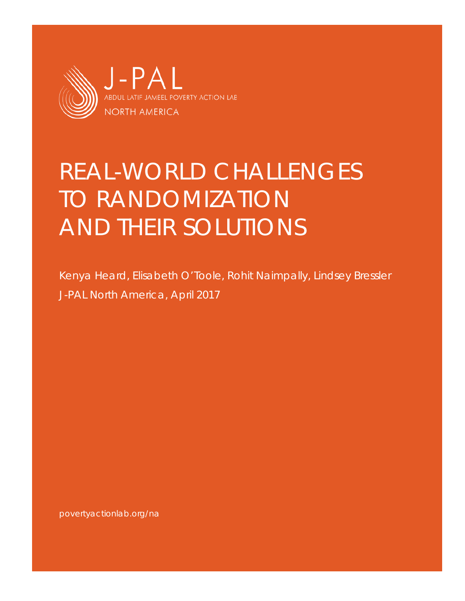

# REAL-WORLD CHALLENGES TO RANDOMIZATION AND THEIR SOLUTIONS

Kenya Heard, Elisabeth O'Toole, Rohit Naimpally, Lindsey Bressler J-PAL North America, April 2017

[povertyactionlab.org/na](https://www.povertyactionlab.org/na)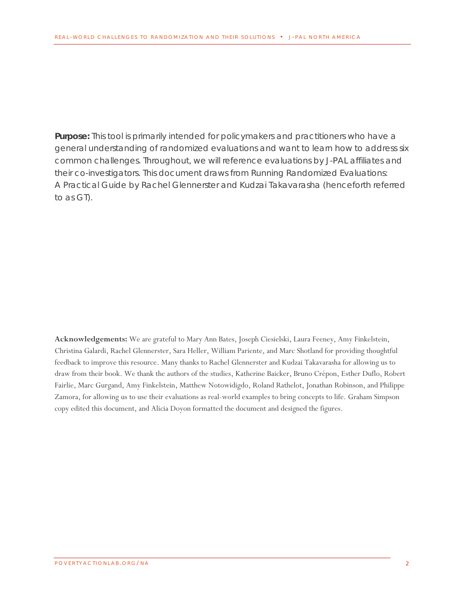**Purpose:** This tool is primarily intended for policymakers and practitioners who have a general understanding of randomized evaluations and want to learn how to address six common challenges. Throughout, we will reference evaluations by J-PAL affiliates and their co-investigators. This document draws from *Running Randomized Evaluations: A Practical Guide* by Rachel Glennerster and Kudzai Takavarasha (henceforth referred to as GT).

**Acknowledgements:** We are grateful to Mary Ann Bates, Joseph Ciesielski, Laura Feeney, Amy Finkelstein, Christina Galardi, Rachel Glennerster, Sara Heller, William Pariente, and Marc Shotland for providing thoughtful feedback to improve this resource. Many thanks to Rachel Glennerster and Kudzai Takavarasha for allowing us to draw from their book. We thank the authors of the studies, Katherine Baicker, Bruno Crépon, Esther Duflo, Robert Fairlie, Marc Gurgand, Amy Finkelstein, Matthew Notowidigdo, Roland Rathelot, Jonathan Robinson, and Philippe Zamora, for allowing us to use their evaluations as real-world examples to bring concepts to life. Graham Simpson copy edited this document, and Alicia Doyon formatted the document and designed the figures.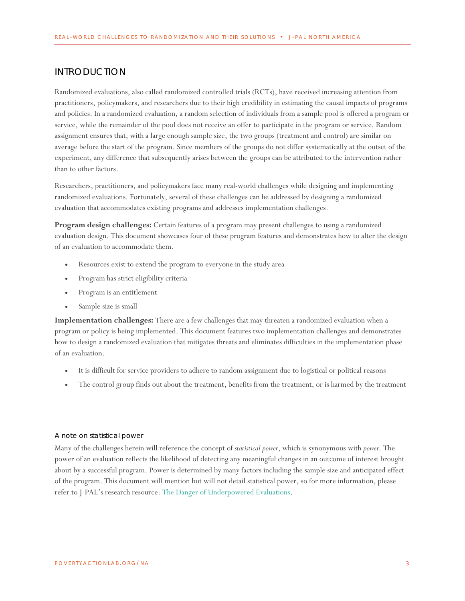# <span id="page-2-0"></span>INTRODUCTION

Randomized evaluations, also called randomized controlled trials (RCTs), have received increasing attention from practitioners, policymakers, and researchers due to their high credibility in estimating the causal impacts of programs and policies. In a randomized evaluation, a random selection of individuals from a sample pool is offered a program or service, while the remainder of the pool does not receive an offer to participate in the program or service. Random assignment ensures that, with a large enough sample size, the two groups (treatment and control) are similar on average before the start of the program. Since members of the groups do not differ systematically at the outset of the experiment, any difference that subsequently arises between the groups can be attributed to the intervention rather than to other factors.

Researchers, practitioners, and policymakers face many real-world challenges while designing and implementing randomized evaluations. Fortunately, several of these challenges can be addressed by designing a randomized evaluation that accommodates existing programs and addresses implementation challenges.

**Program design challenges:** Certain features of a program may present challenges to using a randomized evaluation design. This document showcases four of these program features and demonstrates how to alter the design of an evaluation to accommodate them.

- Resources exist to extend the program to everyone in the study area
- Program has strict eligibility criteria
- Program is an entitlement
- Sample size is small

**Implementation challenges:** There are a few challenges that may threaten a randomized evaluation when a program or policy is being implemented. This document features two implementation challenges and demonstrates how to design a randomized evaluation that mitigates threats and eliminates difficulties in the implementation phase of an evaluation.

- It is difficult for service providers to adhere to random assignment due to logistical or political reasons
- The control group finds out about the treatment, benefits from the treatment, or is harmed by the treatment

#### *A note on statistical power*

Many of the challenges herein will reference the concept of *statistical power*, which is synonymous with *power*. The power of an evaluation reflects the likelihood of detecting any meaningful changes in an outcome of interest brought about by a successful program. Power is determined by many factors including the sample size and anticipated effect of the program. This document will mention but will not detail statistical power, so for more information, please refer to J-PAL's research resource[: The Danger of Underpowered Evaluations.](https://www.povertyactionlab.org/sites/default/files/documents/2017.01.11%20The%20Danger%20of%20Underpowered%20Evaluations.pdf)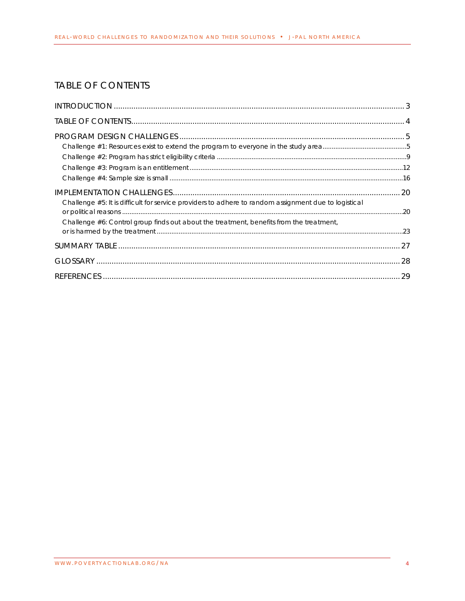<span id="page-3-0"></span>

| <b>TABLE OF CONTENTS</b>                                                                                                                                                                        |  |
|-------------------------------------------------------------------------------------------------------------------------------------------------------------------------------------------------|--|
|                                                                                                                                                                                                 |  |
|                                                                                                                                                                                                 |  |
|                                                                                                                                                                                                 |  |
| Challenge #5: It is difficult for service providers to adhere to random assignment due to logistical<br>Challenge #6: Control group finds out about the treatment, benefits from the treatment, |  |
|                                                                                                                                                                                                 |  |
|                                                                                                                                                                                                 |  |
|                                                                                                                                                                                                 |  |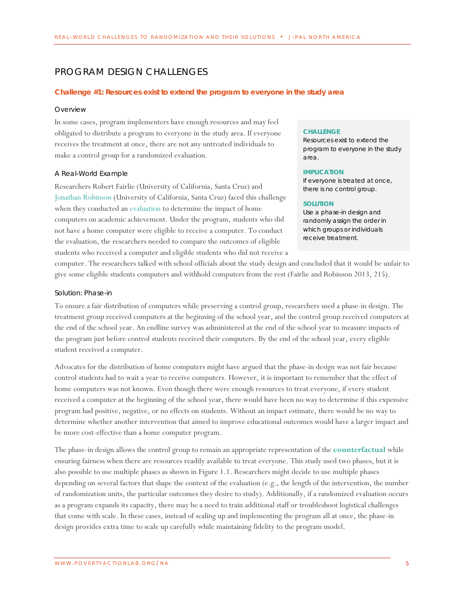# <span id="page-4-0"></span>PROGRAM DESIGN CHALLENGES

#### <span id="page-4-1"></span>**Challenge #1: Resources exist to extend the program to everyone in the study area**

#### *Overview*

In some cases, program implementers have enough resources and may feel obligated to distribute a program to everyone in the study area. If everyone receives the treatment at once, there are not any untreated individuals to make a control group for a randomized evaluation.

#### *A Real-World Example*

Researchers Robert Fairlie (University of California, Santa Cruz) and [Jonathan Robinson](https://www.povertyactionlab.org/robinson) (University of California, Santa Cruz) faced this challenge when they conducted an [evaluation](https://www.povertyactionlab.org/evaluation/impact-home-computers-academic-achievement-low-income-children-united-states) to determine the impact of home computers on academic achievement. Under the program, students who did not have a home computer were eligible to receive a computer. To conduct the evaluation, the researchers needed to compare the outcomes of eligible students who received a computer and eligible students who did not receive a

#### **CHALLENGE**

Resources exist to extend the program to everyone in the study area.

#### **IMPLICATION**

If everyone is treated at once, there is no control group.

#### **SOLUTION**

Use a phase-in design and randomly assign the order in which groups or individuals receive treatment.

computer. The researchers talked with school officials about the study design and concluded that it would be unfair to give some eligible students computers and withhold computers from the rest (Fairlie and Robinson 2013, 215).

#### *Solution: Phase-in*

To ensure a fair distribution of computers while preserving a control group, researchers used a phase-in design. The treatment group received computers at the beginning of the school year, and the control group received computers at the end of the school year. An endline survey was administered at the end of the school year to measure impacts of the program just before control students received their computers. By the end of the school year, every eligible student received a computer.

Advocates for the distribution of home computers might have argued that the phase-in design was not fair because control students had to wait a year to receive computers. However, it is important to remember that the effect of home computers was not known. Even though there were enough resources to treat everyone, if every student received a computer at the beginning of the school year, there would have been no way to determine if this expensive program had positive, negative, or no effects on students. Without an impact estimate, there would be no way to determine whether another intervention that aimed to improve educational outcomes would have a larger impact and be more cost-effective than a home computer program.

The phase-in design allows the control group to remain an appropriate representation of the **[counterfactual](#page-27-1)** while ensuring fairness when there are resources readily available to treat everyone. This study used two phases, but it is also possible to use multiple phases as shown in Figure 1.1. Researchers might decide to use multiple phases depending on several factors that shape the context of the evaluation (e.g., the length of the intervention, the number of randomization units, the particular outcomes they desire to study). Additionally, if a randomized evaluation occurs as a program expands its capacity, there may be a need to train additional staff or troubleshoot logistical challenges that come with scale. In these cases, instead of scaling up and implementing the program all at once, the phase-in design provides extra time to scale up carefully while maintaining fidelity to the program model.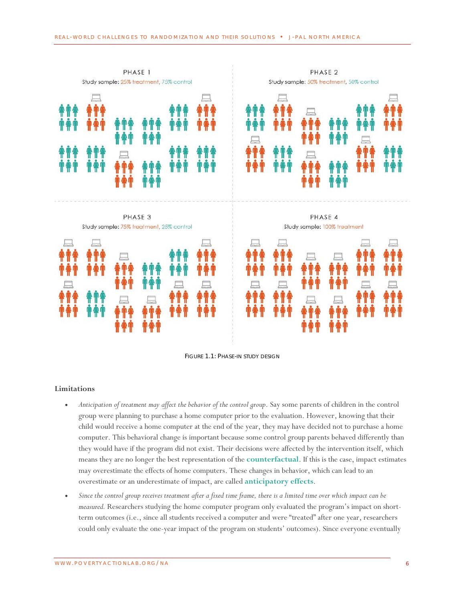

FIGURE 1.1: PHASE-IN STUDY DESIGN

# **Limitations**

- *Anticipation of treatment may affect the behavior of the control group*. Say some parents of children in the control group were planning to purchase a home computer prior to the evaluation. However, knowing that their child would receive a home computer at the end of the year, they may have decided not to purchase a home computer. This behavioral change is important because some control group parents behaved differently than they would have if the program did not exist. Their decisions were affected by the intervention itself, which means they are no longer the best representation of the **[counterfactual](#page-27-1)**. If this is the case, impact estimates may overestimate the effects of home computers. These changes in behavior, which can lead to an overestimate or an underestimate of impact, are called **[anticipatory effects](#page-27-2)**.
- *Since the control group receives treatment after a fixed time frame, there is a limited time over which impact can be measured.* Researchers studying the home computer program only evaluated the program's impact on shortterm outcomes (i.e., since all students received a computer and were "treated" after one year, researchers could only evaluate the one-year impact of the program on students' outcomes). Since everyone eventually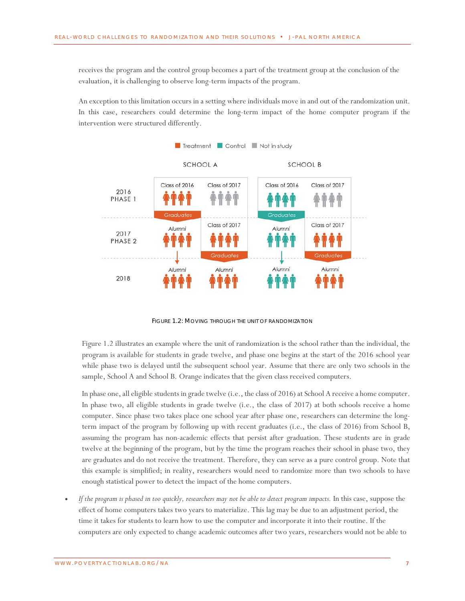receives the program and the control group becomes a part of the treatment group at the conclusion of the evaluation, it is challenging to observe long-term impacts of the program.

An exception to this limitation occurs in a setting where individuals move in and out of the randomization unit. In this case, researchers could determine the long-term impact of the home computer program if the intervention were structured differently.



FIGURE 1.2: MOVING THROUGH THE UNIT OF RANDOMIZATION

Figure 1.2 illustrates an example where the unit of randomization is the school rather than the individual, the program is available for students in grade twelve, and phase one begins at the start of the 2016 school year while phase two is delayed until the subsequent school year. Assume that there are only two schools in the sample, School A and School B. Orange indicates that the given class received computers.

In phase one, all eligible students in grade twelve (i.e., the class of 2016) at School A receive a home computer. In phase two, all eligible students in grade twelve (i.e., the class of 2017) at both schools receive a home computer. Since phase two takes place one school year after phase one, researchers can determine the longterm impact of the program by following up with recent graduates (i.e., the class of 2016) from School B, assuming the program has non-academic effects that persist after graduation. These students are in grade twelve at the beginning of the program, but by the time the program reaches their school in phase two, they are graduates and do not receive the treatment. Therefore, they can serve as a pure control group. Note that this example is simplified; in reality, researchers would need to randomize more than two schools to have enough statistical power to detect the impact of the home computers.

• *If the program is phased in too quickly, researchers may not be able to detect program impacts.* In this case, suppose the effect of home computers takes two years to materialize. This lag may be due to an adjustment period, the time it takes for students to learn how to use the computer and incorporate it into their routine. If the computers are only expected to change academic outcomes after two years, researchers would not be able to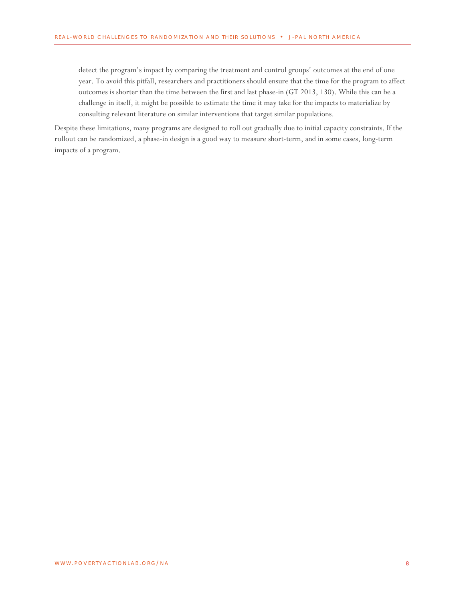detect the program's impact by comparing the treatment and control groups' outcomes at the end of one year. To avoid this pitfall, researchers and practitioners should ensure that the time for the program to affect outcomes is shorter than the time between the first and last phase-in (GT 2013, 130). While this can be a challenge in itself, it might be possible to estimate the time it may take for the impacts to materialize by consulting relevant literature on similar interventions that target similar populations.

Despite these limitations, many programs are designed to roll out gradually due to initial capacity constraints. If the rollout can be randomized, a phase-in design is a good way to measure short-term, and in some cases, long-term impacts of a program.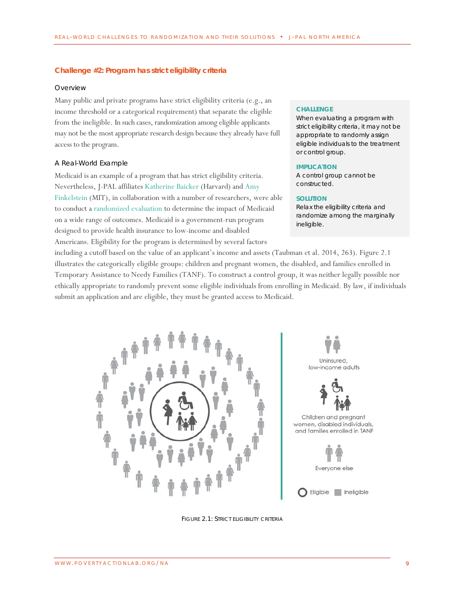#### <span id="page-8-0"></span>**Challenge #2: Program has strict eligibility criteria**

#### *Overview*

Many public and private programs have strict eligibility criteria (e.g., an income threshold or a categorical requirement) that separate the eligible from the ineligible. In such cases, randomization among eligible applicants may not be the most appropriate research design because they already have full access to the program.

#### *A Real-World Example*

Medicaid is an example of a program that has strict eligibility criteria. Nevertheless, J-PAL affiliates [Katherine Baicker](https://www.povertyactionlab.org/baicker) (Harvard) and [Amy](https://www.povertyactionlab.org/finkelstein)  [Finkelstein](https://www.povertyactionlab.org/finkelstein) (MIT), in collaboration with a number of researchers, were able to conduct [a randomized evaluation](https://www.povertyactionlab.org/evaluation/oregon-health-insurance-experiment-united-states) to determine the impact of Medicaid on a wide range of outcomes. Medicaid is a government-run program designed to provide health insurance to low-income and disabled Americans. Eligibility for the program is determined by several factors

#### **CHALLENGE**

When evaluating a program with strict eligibility criteria, it may not be appropriate to randomly assign eligible individuals to the treatment or control group.

#### **IMPLICATION**

A control group cannot be constructed.

#### **SOLUTION**

Relax the eligibility criteria and randomize among the marginally ineligible.

including a cutoff based on the value of an applicant's income and assets (Taubman et al. 2014, 263). Figure 2.1 illustrates the categorically eligible groups: children and pregnant women, the disabled, and families enrolled in Temporary Assistance to Needy Families (TANF). To construct a control group, it was neither legally possible nor ethically appropriate to randomly prevent some eligible individuals from enrolling in Medicaid. By law, if individuals submit an application and are eligible, they must be granted access to Medicaid.



FIGURE 2.1: STRICT ELIGIBILITY CRITERIA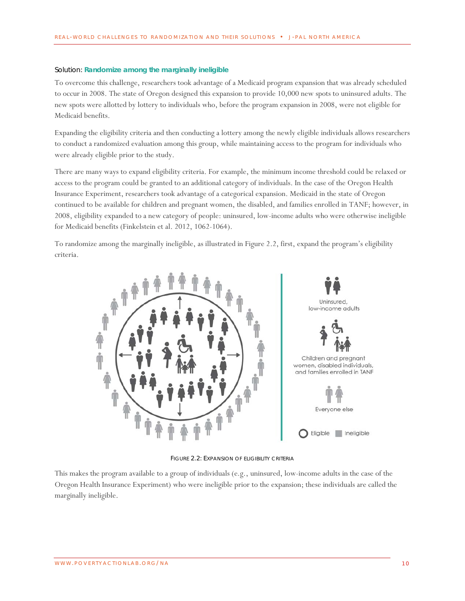#### *Solution: [Randomize among the marginally ineligible](#page-27-3)*

To overcome this challenge, researchers took advantage of a Medicaid program expansion that was already scheduled to occur in 2008. The state of Oregon designed this expansion to provide 10,000 new spots to uninsured adults. The new spots were allotted by lottery to individuals who, before the program expansion in 2008, were not eligible for Medicaid benefits.

Expanding the eligibility criteria and then conducting a lottery among the newly eligible individuals allows researchers to conduct a randomized evaluation among this group, while maintaining access to the program for individuals who were already eligible prior to the study.

There are many ways to expand eligibility criteria. For example, the minimum income threshold could be relaxed or access to the program could be granted to an additional category of individuals. In the case of the Oregon Health Insurance Experiment, researchers took advantage of a categorical expansion. Medicaid in the state of Oregon continued to be available for children and pregnant women, the disabled, and families enrolled in TANF; however, in 2008, eligibility expanded to a new category of people: uninsured, low-income adults who were otherwise ineligible for Medicaid benefits (Finkelstein et al. 2012, 1062-1064).

To randomize among the marginally ineligible, as illustrated in Figure 2.2, first, expand the program's eligibility criteria.



FIGURE 2.2: EXPANSION OF ELIGIBILITY CRITERIA

This makes the program available to a group of individuals (e.g., uninsured, low-income adults in the case of the Oregon Health Insurance Experiment) who were ineligible prior to the expansion; these individuals are called the marginally ineligible.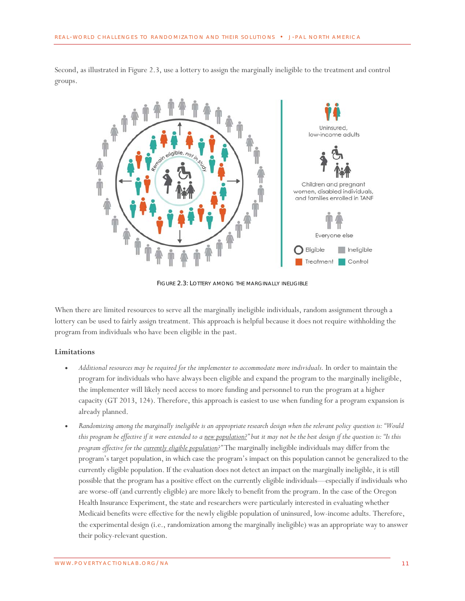

Second, as illustrated in Figure 2.3, use a lottery to assign the marginally ineligible to the treatment and control groups.

FIGURE 2.3: LOTTERY AMONG THE MARGINALLY INELIGIBLE

When there are limited resources to serve all the marginally ineligible individuals, random assignment through a lottery can be used to fairly assign treatment. This approach is helpful because it does not require withholding the program from individuals who have been eligible in the past.

#### **Limitations**

- *Additional resources may be required for the implementer to accommodate more individuals.* In order to maintain the program for individuals who have always been eligible and expand the program to the marginally ineligible, the implementer will likely need access to more funding and personnel to run the program at a higher capacity (GT 2013, 124). Therefore, this approach is easiest to use when funding for a program expansion is already planned.
- *Randomizing among the marginally ineligible is an appropriate research design when the relevant policy question is: "Would this program be effective if it were extended to a new population?" but it may not be the best design if the question is: "Is this program effective for the currently eligible population?"* The marginally ineligible individuals may differ from the program's target population, in which case the program's impact on this population cannot be generalized to the currently eligible population. If the evaluation does not detect an impact on the marginally ineligible, it is still possible that the program has a positive effect on the currently eligible individuals—especially if individuals who are worse-off (and currently eligible) are more likely to benefit from the program. In the case of the Oregon Health Insurance Experiment, the state and researchers were particularly interested in evaluating whether Medicaid benefits were effective for the newly eligible population of uninsured, low-income adults. Therefore, the experimental design (i.e., randomization among the marginally ineligible) was an appropriate way to answer their policy-relevant question.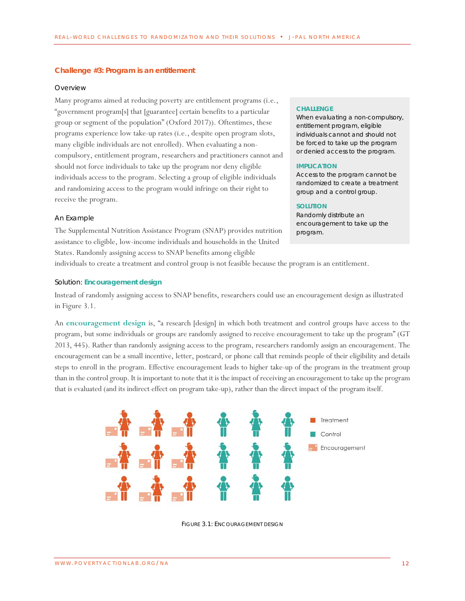#### <span id="page-11-0"></span>**Challenge #3: Program is an entitlement**

#### *Overview*

Many programs aimed at reducing poverty are entitlement programs (i.e., "government program[s] that [guarantee] certain benefits to a particular group or segment of the population" (Oxford 2017)). Oftentimes, these programs experience low take-up rates (i.e., despite open program slots, many eligible individuals are not enrolled). When evaluating a noncompulsory, entitlement program, researchers and practitioners cannot and should not force individuals to take up the program nor deny eligible individuals access to the program. Selecting a group of eligible individuals and randomizing access to the program would infringe on their right to receive the program.

#### *An Example*

The Supplemental Nutrition Assistance Program (SNAP) provides nutrition assistance to eligible, low-income individuals and households in the United States. Randomly assigning access to SNAP benefits among eligible

#### **CHALLENGE**

When evaluating a non-compulsory, entitlement program, eligible individuals cannot and should not be forced to take up the program or denied access to the program.

#### **IMPLICATION**

Access to the program cannot be randomized to create a treatment group and a control group.

#### **SOLUTION**

Randomly distribute an encouragement to take up the program.

individuals to create a treatment and control group is not feasible because the program is an entitlement.

#### *Solution: [Encouragement design](#page-27-4)*

Instead of randomly assigning access to SNAP benefits, researchers could use an encouragement design as illustrated in Figure 3.1.

An **[encouragement design](#page-27-4)** is, "a research [design] in which both treatment and control groups have access to the program, but some individuals or groups are randomly assigned to receive encouragement to take up the program" (GT 2013, 445). Rather than randomly assigning access to the program, researchers randomly assign an encouragement. The encouragement can be a small incentive, letter, postcard, or phone call that reminds people of their eligibility and details steps to enroll in the program. Effective encouragement leads to higher take-up of the program in the treatment group than in the control group. It is important to note that it is the impact of receiving an encouragement to take up the program that is evaluated (and its indirect effect on program take-up), rather than the direct impact of the program itself.



FIGURE 3.1: ENCOURAGEMENT DESIGN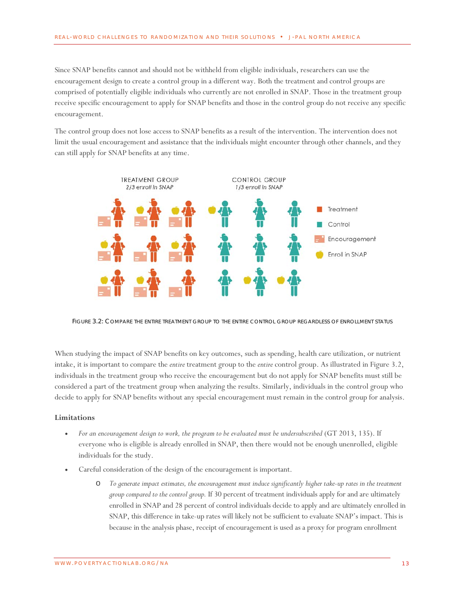Since SNAP benefits cannot and should not be withheld from eligible individuals, researchers can use the encouragement design to create a control group in a different way. Both the treatment and control groups are comprised of potentially eligible individuals who currently are not enrolled in SNAP. Those in the treatment group receive specific encouragement to apply for SNAP benefits and those in the control group do not receive any specific encouragement.

The control group does not lose access to SNAP benefits as a result of the intervention. The intervention does not limit the usual encouragement and assistance that the individuals might encounter through other channels, and they can still apply for SNAP benefits at any time.



FIGURE 3.2: COMPARE THE ENTIRE TREATMENT GROUP TO THE ENTIRE CONTROL GROUP REGARDLESS OF ENROLLMENT STATUS

When studying the impact of SNAP benefits on key outcomes, such as spending, health care utilization, or nutrient intake, it is important to compare the *entire* treatment group to the *entire* control group. As illustrated in Figure 3.2, individuals in the treatment group who receive the encouragement but do not apply for SNAP benefits must still be considered a part of the treatment group when analyzing the results. Similarly, individuals in the control group who decide to apply for SNAP benefits without any special encouragement must remain in the control group for analysis.

# **Limitations**

- *For an encouragement design to work, the program to be evaluated must be undersubscribed* (GT 2013, 135). If everyone who is eligible is already enrolled in SNAP, then there would not be enough unenrolled, eligible individuals for the study.
- Careful consideration of the design of the encouragement is important.
	- o *To generate impact estimates, the encouragement must induce significantly higher take-up rates in the treatment group compared to the control group.* If 30 percent of treatment individuals apply for and are ultimately enrolled in SNAP and 28 percent of control individuals decide to apply and are ultimately enrolled in SNAP, this difference in take-up rates will likely not be sufficient to evaluate SNAP's impact. This is because in the analysis phase, receipt of encouragement is used as a proxy for program enrollment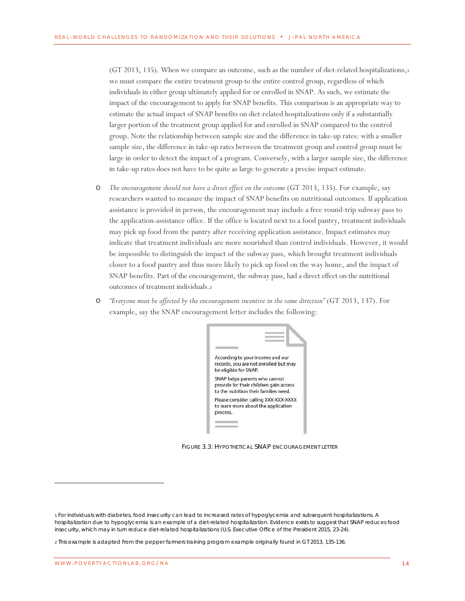(GT 20[1](#page-13-0)3, 135). When we compare an outcome, such as the number of diet-related hospitalizations, $1$ we must compare the entire treatment group to the entire control group, regardless of which individuals in either group ultimately applied for or enrolled in SNAP. As such, we estimate the impact of the encouragement to apply for SNAP benefits. This comparison is an appropriate way to estimate the actual impact of SNAP benefits on diet-related hospitalizations only if a substantially larger portion of the treatment group applied for and enrolled in SNAP compared to the control group. Note the relationship between sample size and the difference in take-up rates: with a smaller sample size, the difference in take-up rates between the treatment group and control group must be large in order to detect the impact of a program. Conversely, with a larger sample size, the difference in take-up rates does not have to be quite as large to generate a precise impact estimate.

- o *The encouragement should not have a direct effect on the outcome* (GT 2013, 135)*.* For example, say researchers wanted to measure the impact of SNAP benefits on nutritional outcomes. If application assistance is provided in person, the encouragement may include a free round-trip subway pass to the application-assistance office. If the office is located next to a food pantry, treatment individuals may pick up food from the pantry after receiving application assistance. Impact estimates may indicate that treatment individuals are more nourished than control individuals. However, it would be impossible to distinguish the impact of the subway pass, which brought treatment individuals closer to a food pantry and thus more likely to pick up food on the way home, and the impact of SNAP benefits. Part of the encouragement, the subway pass, had a direct effect on the nutritional outcomes of treatment individuals.[2](#page-13-1)
- o *"Everyone must be affected by the encouragement incentive in the same direction"* (GT 2013, 137). For example, say the SNAP encouragement letter includes the following:



FIGURE 3.3: HYPOTHETICAL SNAP ENCOURAGEMENT LETTER

<span id="page-13-0"></span><sup>1</sup> For individuals with diabetes, food insecurity can lead to increased rates of hypoglycemia and subsequent hospitalizations. A hospitalization due to hypoglycemia is an example of a diet-related hospitalization. Evidence exists to suggest that SNAP reduces food insecurity, which may in turn reduce diet-related hospitalizations (U.S. Executive Office of the President 2015, 23-24).

<span id="page-13-1"></span><sup>2</sup> This example is adapted from the pepper farmers training program example originally found in GT 2013, 135-136.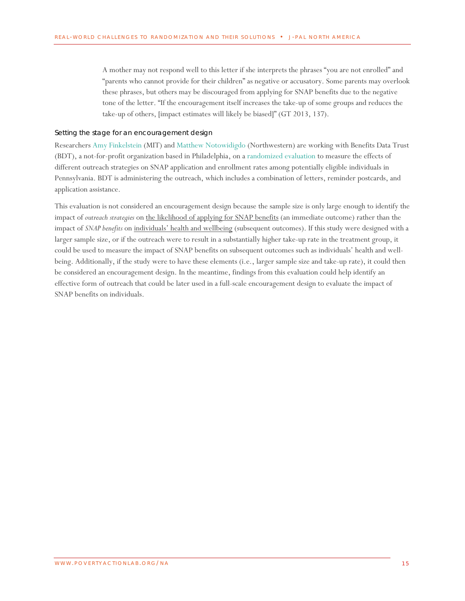A mother may not respond well to this letter if she interprets the phrases "you are not enrolled" and "parents who cannot provide for their children" as negative or accusatory. Some parents may overlook these phrases, but others may be discouraged from applying for SNAP benefits due to the negative tone of the letter. "If the encouragement itself increases the take-up of some groups and reduces the take-up of others, [impact estimates will likely be biased]" (GT 2013, 137).

#### *Setting the stage for an encouragement design*

Researchers [Amy Finkelstein](https://www.povertyactionlab.org/finkelstein) (MIT) an[d Matthew Notowidigdo](https://www.povertyactionlab.org/notowidigdo) (Northwestern) are working with Benefits Data Trust (BDT), a not-for-profit organization based in Philadelphia, on [a randomized evaluation](https://www.povertyactionlab.org/evaluation/snap-take-evaluation) to measure the effects of different outreach strategies on SNAP application and enrollment rates among potentially eligible individuals in Pennsylvania. BDT is administering the outreach, which includes a combination of letters, reminder postcards, and application assistance.

This evaluation is not considered an encouragement design because the sample size is only large enough to identify the impact of *outreach strategies* on the likelihood of applying for SNAP benefits (an immediate outcome) rather than the impact of *SNAP benefits* on individuals' health and wellbeing (subsequent outcomes). If this study were designed with a larger sample size, or if the outreach were to result in a substantially higher take-up rate in the treatment group, it could be used to measure the impact of SNAP benefits on subsequent outcomes such as individuals' health and wellbeing. Additionally, if the study were to have these elements (i.e., larger sample size and take-up rate), it could then be considered an encouragement design. In the meantime, findings from this evaluation could help identify an effective form of outreach that could be later used in a full-scale encouragement design to evaluate the impact of SNAP benefits on individuals.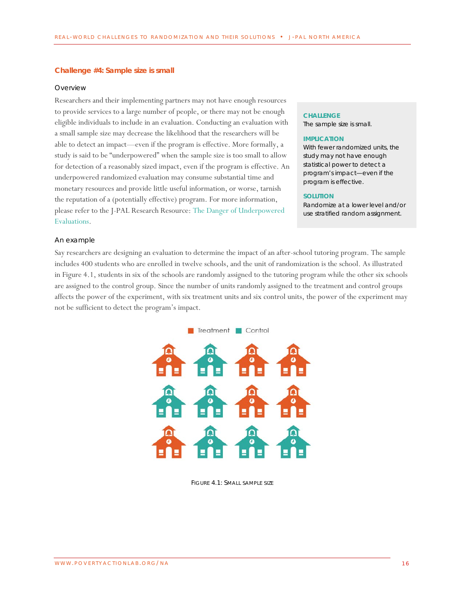#### <span id="page-15-0"></span>**Challenge #4: Sample size is small**

#### *Overview*

Researchers and their implementing partners may not have enough resources to provide services to a large number of people, or there may not be enough eligible individuals to include in an evaluation. Conducting an evaluation with a small sample size may decrease the likelihood that the researchers will be able to detect an impact—even if the program is effective. More formally, a study is said to be "underpowered" when the sample size is too small to allow for detection of a reasonably sized impact, even if the program is effective. An underpowered randomized evaluation may consume substantial time and monetary resources and provide little useful information, or worse, tarnish the reputation of a (potentially effective) program. For more information, please refer to the J-PAL Research Resource: [The Danger of Underpowered](https://www.povertyactionlab.org/sites/default/files/documents/2017.01.11%20The%20Danger%20of%20Underpowered%20Evaluations.pdf)  [Evaluations.](https://www.povertyactionlab.org/sites/default/files/documents/2017.01.11%20The%20Danger%20of%20Underpowered%20Evaluations.pdf)

#### **CHALLENGE**

The sample size is small.

#### **IMPLICATION**

With fewer randomized units, the study may not have enough statistical power to detect a program's impact—even if the program is effective.

#### **SOLUTION**

Randomize at a lower level and/or use stratified random assignment.

#### *An example*

Say researchers are designing an evaluation to determine the impact of an after-school tutoring program. The sample includes 400 students who are enrolled in twelve schools, and the unit of randomization is the school. As illustrated in Figure 4.1, students in six of the schools are randomly assigned to the tutoring program while the other six schools are assigned to the control group. Since the number of units randomly assigned to the treatment and control groups affects the power of the experiment, with six treatment units and six control units, the power of the experiment may not be sufficient to detect the program's impact.



FIGURE 4.1: SMALL SAMPLE SIZE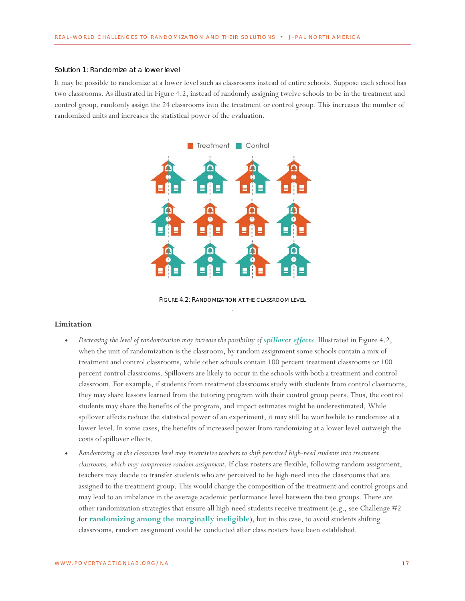#### *Solution 1: Randomize at a lower level*

It may be possible to randomize at a lower level such as classrooms instead of entire schools. Suppose each school has two classrooms. As illustrated in Figure 4.2, instead of randomly assigning twelve schools to be in the treatment and control group, randomly assign the 24 classrooms into the treatment or control group. This increases the number of randomized units and increases the statistical power of the evaluation.



FIGURE 4.2: RANDOMIZATION AT THE CLASSROOM LEVEL

#### **Limitation**

- *Decreasing the level of randomization may increase the possibility of [spillover effects](#page-27-5)*. Illustrated in Figure 4.2, when the unit of randomization is the classroom, by random assignment some schools contain a mix of treatment and control classrooms, while other schools contain 100 percent treatment classrooms or 100 percent control classrooms. Spillovers are likely to occur in the schools with both a treatment and control classroom. For example, if students from treatment classrooms study with students from control classrooms, they may share lessons learned from the tutoring program with their control group peers. Thus, the control students may share the benefits of the program, and impact estimates might be underestimated. While spillover effects reduce the statistical power of an experiment, it may still be worthwhile to randomize at a lower level. In some cases, the benefits of increased power from randomizing at a lower level outweigh the costs of spillover effects.
- *Randomizing at the classroom level may incentivize teachers to shift perceived high-need students into treatment classrooms, which may compromise random assignment*. If class rosters are flexible, following random assignment, teachers may decide to transfer students who are perceived to be high-need into the classrooms that are assigned to the treatment group. This would change the composition of the treatment and control groups and may lead to an imbalance in the average academic performance level between the two groups. There are other randomization strategies that ensure all high-need students receive treatment (e.g., see Challenge #2 for **[randomizing among the marginally ineligible](#page-27-3)**), but in this case, to avoid students shifting classrooms, random assignment could be conducted after class rosters have been established.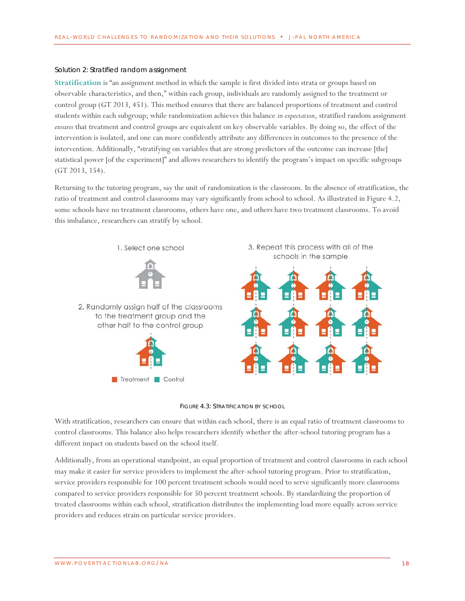#### *Solution 2: Stratified random assignment*

**[Stratification](#page-27-6)** is "an assignment method in which the sample is first divided into strata or groups based on observable characteristics, and then," within each group, individuals are randomly assigned to the treatment or control group (GT 2013, 451). This method ensures that there are balanced proportions of treatment and control students within each subgroup; while randomization achieves this balance *in expectation*, stratified random assignment *ensures* that treatment and control groups are equivalent on key observable variables. By doing so, the effect of the intervention is isolated, and one can more confidently attribute any differences in outcomes to the presence of the intervention. Additionally, "stratifying on variables that are strong predictors of the outcome can increase [the] statistical power [of the experiment]" and allows researchers to identify the program's impact on specific subgroups (GT 2013, 154).

Returning to the tutoring program, say the unit of randomization is the classroom. In the absence of stratification, the ratio of treatment and control classrooms may vary significantly from school to school. As illustrated in Figure 4.2, some schools have no treatment classrooms, others have one, and others have two treatment classrooms. To avoid this imbalance, researchers can stratify by school.





With stratification, researchers can ensure that within each school, there is an equal ratio of treatment classrooms to control classrooms. This balance also helps researchers identify whether the after-school tutoring program has a different impact on students based on the school itself.

Additionally, from an operational standpoint, an equal proportion of treatment and control classrooms in each school may make it easier for service providers to implement the after-school tutoring program. Prior to stratification, service providers responsible for 100 percent treatment schools would need to serve significantly more classrooms compared to service providers responsible for 50 percent treatment schools. By standardizing the proportion of treated classrooms within each school, stratification distributes the implementing load more equally across service providers and reduces strain on particular service providers.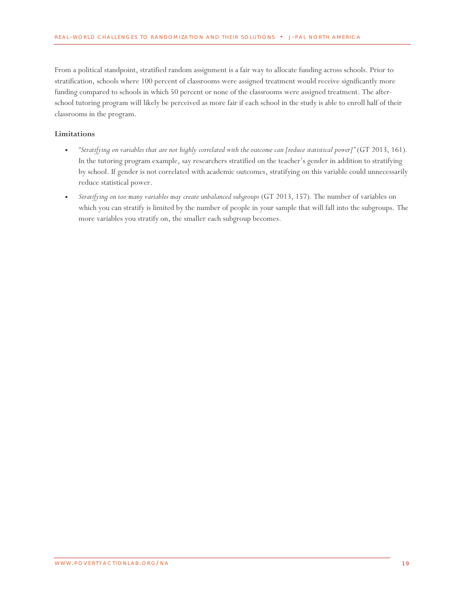From a political standpoint, stratified random assignment is a fair way to allocate funding across schools. Prior to stratification, schools where 100 percent of classrooms were assigned treatment would receive significantly more funding compared to schools in which 50 percent or none of the classrooms were assigned treatment. The afterschool tutoring program will likely be perceived as more fair if each school in the study is able to enroll half of their classrooms in the program.

# **Limitations**

- *"Stratifying on variables that are not highly correlated with the outcome can [reduce statistical power]"* (GT 2013, 161)*.* In the tutoring program example, say researchers stratified on the teacher's gender in addition to stratifying by school. If gender is not correlated with academic outcomes, stratifying on this variable could unnecessarily reduce statistical power.
- *Stratifying on too many variables may create unbalanced subgroups* (GT 2013, 157)*.* The number of variables on which you can stratify is limited by the number of people in your sample that will fall into the subgroups. The more variables you stratify on, the smaller each subgroup becomes.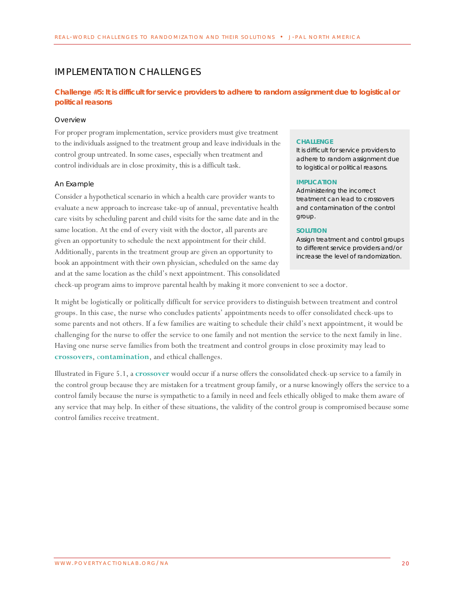# <span id="page-19-0"></span>IMPLEMENTATION CHALLENGES

# <span id="page-19-1"></span>**Challenge #5: It is difficult for service providers to adhere to random assignment due to logistical or political reasons**

#### *Overview*

For proper program implementation, service providers must give treatment to the individuals assigned to the treatment group and leave individuals in the control group untreated. In some cases, especially when treatment and control individuals are in close proximity, this is a difficult task.

#### *An Example*

Consider a hypothetical scenario in which a health care provider wants to evaluate a new approach to increase take-up of annual, preventative health care visits by scheduling parent and child visits for the same date and in the same location. At the end of every visit with the doctor, all parents are given an opportunity to schedule the next appointment for their child. Additionally, parents in the treatment group are given an opportunity to book an appointment with their own physician, scheduled on the same day and at the same location as the child's next appointment. This consolidated

#### **CHALLENGE**

It is difficult for service providers to adhere to random assignment due to logistical or political reasons.

#### **IMPLICATION**

Administering the incorrect treatment can lead to crossovers and contamination of the control group.

#### **SOLUTION**

Assign treatment and control groups to different service providers and/or increase the level of randomization.

check-up program aims to improve parental health by making it more convenient to see a doctor.

It might be logistically or politically difficult for service providers to distinguish between treatment and control groups. In this case, the nurse who concludes patients' appointments needs to offer consolidated check-ups to some parents and not others. If a few families are waiting to schedule their child's next appointment, it would be challenging for the nurse to offer the service to one family and not mention the service to the next family in line. Having one nurse serve families from both the treatment and control groups in close proximity may lead to **[crossovers](#page-27-7)**, c**[ontamination](#page-27-8)**, and ethical challenges.

Illustrated in Figure 5.1, a **[crossover](#page-27-7)** would occur if a nurse offers the consolidated check-up service to a family in the control group because they are mistaken for a treatment group family, or a nurse knowingly offers the service to a control family because the nurse is sympathetic to a family in need and feels ethically obliged to make them aware of any service that may help. In either of these situations, the validity of the control group is compromised because some control families receive treatment.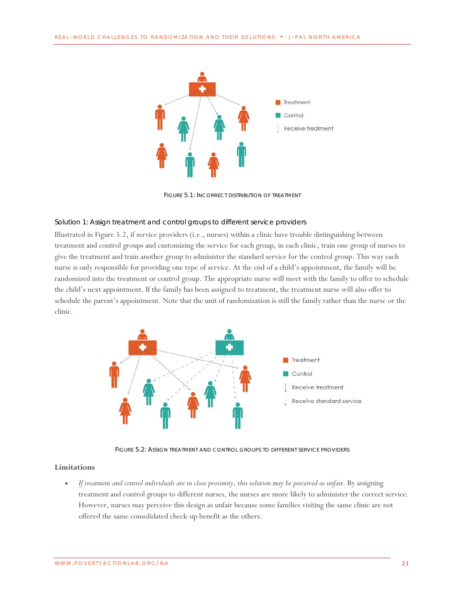

FIGURE 5.1: INCORRECT DISTRIBUTION OF TREATMENT

#### *Solution 1: Assign treatment and control groups to different service providers*

Illustrated in Figure 5.2, if service providers (i.e., nurses) within a clinic have trouble distinguishing between treatment and control groups and customizing the service for each group, in each clinic, train one group of nurses to give the treatment and train another group to administer the standard service for the control group. This way each nurse is only responsible for providing one type of service. At the end of a child's appointment, the family will be randomized into the treatment or control group. The appropriate nurse will meet with the family to offer to schedule the child's next appointment. If the family has been assigned to treatment, the treatment nurse will also offer to schedule the parent's appointment. Note that the unit of randomization is still the family rather than the nurse or the clinic.



FIGURE 5.2: ASSIGN TREATMENT AND CONTROL GROUPS TO DIFFERENT SERVICE PROVIDERS

## **Limitations**

• *If treatment and control individuals are in close proximity, this solution may be perceived as unfair.* By assigning treatment and control groups to different nurses, the nurses are more likely to administer the correct service. However, nurses may perceive this design as unfair because some families visiting the same clinic are not offered the same consolidated check-up benefit as the others.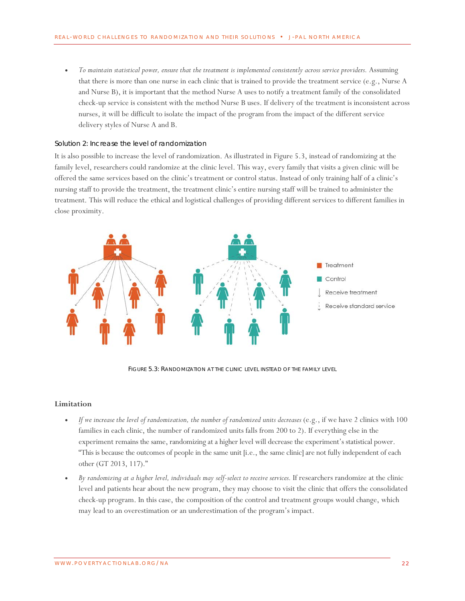• *To maintain statistical power, ensure that the treatment is implemented consistently across service providers.* Assuming that there is more than one nurse in each clinic that is trained to provide the treatment service (e.g., Nurse A and Nurse B), it is important that the method Nurse A uses to notify a treatment family of the consolidated check-up service is consistent with the method Nurse B uses. If delivery of the treatment is inconsistent across nurses, it will be difficult to isolate the impact of the program from the impact of the different service delivery styles of Nurse A and B.

#### *Solution 2: Increase the level of randomization*

It is also possible to increase the level of randomization. As illustrated in Figure 5.3, instead of randomizing at the family level, researchers could randomize at the clinic level. This way, every family that visits a given clinic will be offered the same services based on the clinic's treatment or control status. Instead of only training half of a clinic's nursing staff to provide the treatment, the treatment clinic's entire nursing staff will be trained to administer the treatment. This will reduce the ethical and logistical challenges of providing different services to different families in close proximity.



FIGURE 5.3: RANDOMIZATION AT THE CLINIC LEVEL INSTEAD OF THE FAMILY LEVEL

#### **Limitation**

- *If we increase the level of randomization, the number of randomized units decreases* (e.g., if we have 2 clinics with 100 families in each clinic, the number of randomized units falls from 200 to 2). If everything else in the experiment remains the same, randomizing at a higher level will decrease the experiment's statistical power. "This is because the outcomes of people in the same unit [i.e., the same clinic] are not fully independent of each other (GT 2013, 117)."
- *By randomizing at a higher level, individuals may self-select to receive services.* If researchers randomize at the clinic level and patients hear about the new program, they may choose to visit the clinic that offers the consolidated check-up program. In this case, the composition of the control and treatment groups would change, which may lead to an overestimation or an underestimation of the program's impact.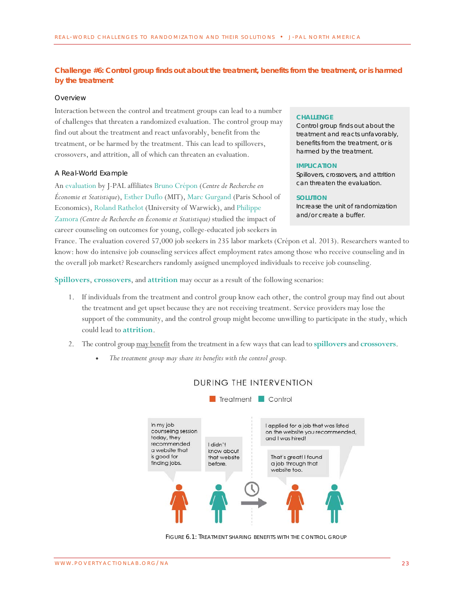# <span id="page-22-0"></span>**Challenge #6: Control group finds out about the treatment, benefits from the treatment, or is harmed by the treatment**

#### *Overview*

Interaction between the control and treatment groups can lead to a number of challenges that threaten a randomized evaluation. The control group may find out about the treatment and react unfavorably, benefit from the treatment, or be harmed by the treatment. This can lead to spillovers, crossovers, and attrition, all of which can threaten an evaluation.

#### *A Real-World Example*

An [evaluation](https://www.povertyactionlab.org/evaluation/counseling-and-job-placement-young-graduate-job-seekers-france-jeunes-dipl%C3%B4m%C3%A9s) by J-PAL affiliates [Bruno Crépon](https://www.povertyactionlab.org/cr%C3%A9pon) (*Centre de Recherche en Économie et Statistique*)[, Esther Duflo](https://www.povertyactionlab.org/duflo) (MIT)[, Marc Gurgand](https://www.povertyactionlab.org/gurgand) (Paris School of Economics), [Roland Rathelot](https://www.povertyactionlab.org/rathelot) (University of Warwick), an[d Philippe](https://www.povertyactionlab.org/zamora)  [Zamora](https://www.povertyactionlab.org/zamora) *(Centre de Recherche en Économie et Statistique)* studied the impact of career counseling on outcomes for young, college-educated job seekers in

## **CHALLENGE**

Control group finds out about the treatment and reacts unfavorably, benefits from the treatment, or is harmed by the treatment.

#### **IMPLICATION**

Spillovers, crossovers, and attrition can threaten the evaluation.

#### **SOLUTION**

Increase the unit of randomization and/or create a buffer.

France. The evaluation covered 57,000 job seekers in 235 labor markets (Crépon et al. 2013). Researchers wanted to know: how do intensive job counseling services affect employment rates among those who receive counseling and in the overall job market? Researchers randomly assigned unemployed individuals to receive job counseling.

**[Spillovers](#page-27-5)**, **[crossovers](#page-27-7)**, and **[attrition](#page-27-9)** may occur as a result of the following scenarios:

- 1. If individuals from the treatment and control group know each other, the control group may find out about the treatment and get upset because they are not receiving treatment. Service providers may lose the support of the community, and the control group might become unwilling to participate in the study, which could lead to **[attrition](#page-27-9)**.
- 2. The control group may benefit from the treatment in a few ways that can lead to **[spillovers](#page-27-5)** and **[crossovers](#page-27-7)**.
	- *The treatment group may share its benefits with the control group.*



# DURING THE INTERVENTION

Treatment Control

FIGURE 6.1: TREATMENT SHARING BENEFITS WITH THE CONTROL GROUP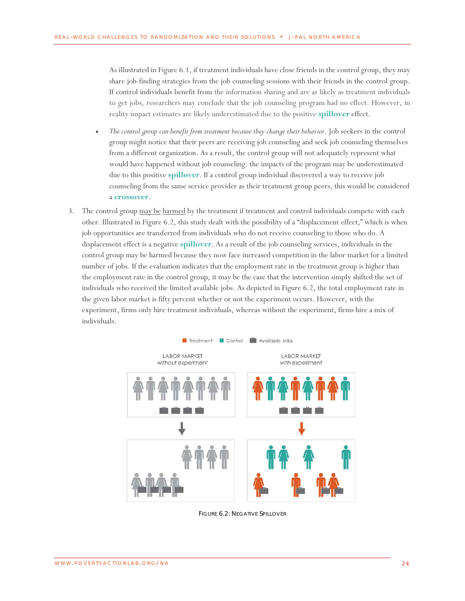As illustrated in Figure 6.1, if treatment individuals have close friends in the control group, they may share job-finding strategies from the job counseling sessions with their friends in the control group. If control individuals benefit from the information sharing and are as likely as treatment individuals to get jobs, researchers may conclude that the job counseling program had no effect. However, in reality impact estimates are likely underestimated due to the positive **[spillover](#page-27-5)** effect.

- *The control group can benefit from treatment because they change their behavior*. Job seekers in the control group might notice that their peers are receiving job counseling and seek job counseling themselves from a different organization. As a result, the control group will not adequately represent what would have happened without job counseling: the impacts of the program may be underestimated due to this positive **[spillover](#page-27-5)**. If a control group individual discovered a way to receive job counseling from the same service provider as their treatment group peers, this would be considered a **[crossover](#page-27-7)**.
- 3. The control group may be harmed by the treatment if treatment and control individuals compete with each other*.* Illustrated in Figure 6.2, this study dealt with the possibility of a "displacement effect," which is when job opportunities are transferred from individuals who do not receive counseling to those who do. A displacement effect is a negative **[spillover](#page-27-5)**. As a result of the job counseling services, individuals in the control group may be harmed because they now face increased competition in the labor market for a limited number of jobs. If the evaluation indicates that the employment rate in the treatment group is higher than the employment rate in the control group, it may be the case that the intervention simply shifted the set of individuals who received the limited available jobs. As depicted in Figure 6.2, the total employment rate in the given labor market is fifty percent whether or not the experiment occurs. However, with the experiment, firms only hire treatment individuals, whereas without the experiment, firms hire a mix of individuals.



FIGURE 6.2: NEGATIVE SPILLOVER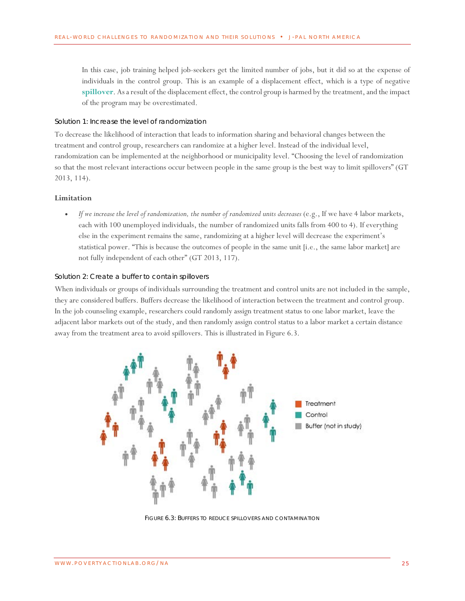In this case, job training helped job-seekers get the limited number of jobs, but it did so at the expense of individuals in the control group. This is an example of a displacement effect, which is a type of negative **[spillover](#page-27-5)**. As a result of the displacement effect, the control group is harmed by the treatment, and the impact of the program may be overestimated.

## *Solution 1: Increase the level of randomization*

To decrease the likelihood of interaction that leads to information sharing and behavioral changes between the treatment and control group, researchers can randomize at a higher level. Instead of the individual level, randomization can be implemented at the neighborhood or municipality level. "Choosing the level of randomization so that the most relevant interactions occur between people in the same group is the best way to limit spillovers" (GT 2013, 114).

#### **Limitation**

• *If we increase the level of randomization, the number of randomized units decreases* (e.g., If we have 4 labor markets, each with 100 unemployed individuals, the number of randomized units falls from 400 to 4). If everything else in the experiment remains the same, randomizing at a higher level will decrease the experiment's statistical power. "This is because the outcomes of people in the same unit [i.e., the same labor market] are not fully independent of each other" (GT 2013, 117).

#### *Solution 2: Create a buffer to contain spillovers*

When individuals or groups of individuals surrounding the treatment and control units are not included in the sample, they are considered buffers. Buffers decrease the likelihood of interaction between the treatment and control group. In the job counseling example, researchers could randomly assign treatment status to one labor market, leave the adjacent labor markets out of the study, and then randomly assign control status to a labor market a certain distance away from the treatment area to avoid spillovers. This is illustrated in Figure 6.3.



FIGURE 6.3: BUFFERS TO REDUCE SPILLOVERS AND CONTAMINATION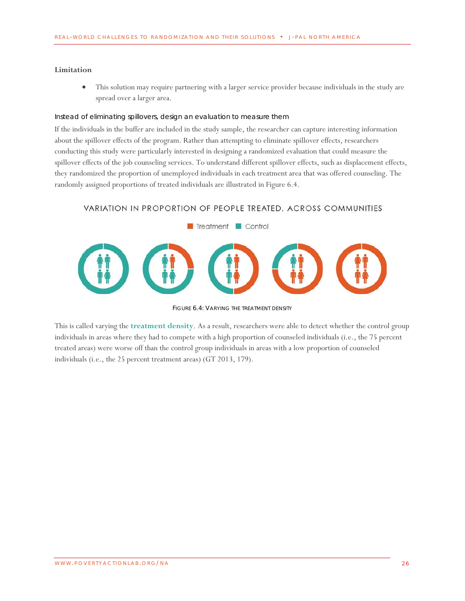## **Limitation**

• This solution may require partnering with a larger service provider because individuals in the study are spread over a larger area.

## *Instead of eliminating spillovers, design an evaluation to measure them*

If the individuals in the buffer are included in the study sample, the researcher can capture interesting information about the spillover effects of the program. Rather than attempting to eliminate spillover effects, researchers conducting this study were particularly interested in designing a randomized evaluation that could measure the spillover effects of the job counseling services. To understand different spillover effects, such as displacement effects, they randomized the proportion of unemployed individuals in each treatment area that was offered counseling. The randomly assigned proportions of treated individuals are illustrated in Figure 6.4.

# VARIATION IN PROPORTION OF PEOPLE TREATED, ACROSS COMMUNITIES



FIGURE 6.4: VARYING THE TREATMENT DENSITY

This is called varying the **[treatment density](#page-27-10)**. As a result, researchers were able to detect whether the control group individuals in areas where they had to compete with a high proportion of counseled individuals (i.e., the 75 percent treated areas) were worse off than the control group individuals in areas with a low proportion of counseled individuals (i.e., the 25 percent treatment areas) (GT 2013, 179).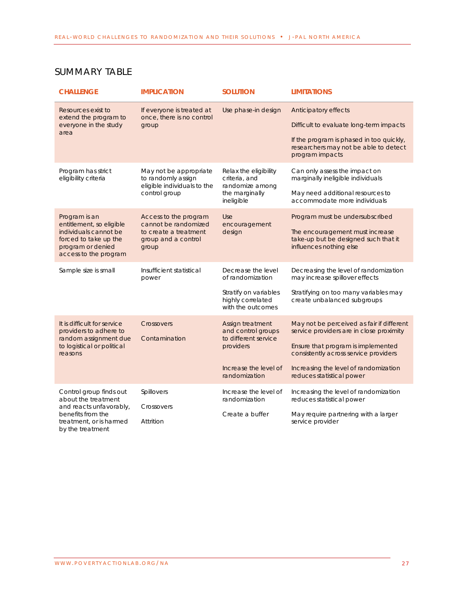<span id="page-26-0"></span>

| <b>SUMMARY TABLE</b>                                                                                                                          |                                                                                                        |                                                                                                                       |                                                                                                                                                                                                                                            |  |  |
|-----------------------------------------------------------------------------------------------------------------------------------------------|--------------------------------------------------------------------------------------------------------|-----------------------------------------------------------------------------------------------------------------------|--------------------------------------------------------------------------------------------------------------------------------------------------------------------------------------------------------------------------------------------|--|--|
| <b>CHALLENGE</b>                                                                                                                              | <b>IMPLICATION</b>                                                                                     | <b>SOLUTION</b>                                                                                                       | <b>LIMITATIONS</b>                                                                                                                                                                                                                         |  |  |
| Resources exist to<br>extend the program to<br>everyone in the study<br>area                                                                  | If everyone is treated at<br>once, there is no control<br>group                                        | Use phase-in design                                                                                                   | Anticipatory effects<br>Difficult to evaluate long-term impacts<br>If the program is phased in too quickly,<br>researchers may not be able to detect<br>program impacts                                                                    |  |  |
| Program has strict<br>eligibility criteria                                                                                                    | May not be appropriate<br>to randomly assign<br>eligible individuals to the<br>control group           | Relax the eligibility<br>criteria, and<br>randomize among<br>the marginally<br>ineligible                             | Can only assess the impact on<br>marginally ineligible individuals<br>May need additional resources to<br>accommodate more individuals                                                                                                     |  |  |
| Program is an<br>entitlement, so eligible<br>individuals cannot be<br>forced to take up the<br>program or denied<br>access to the program     | Access to the program<br>cannot be randomized<br>to create a treatment<br>group and a control<br>group | Use<br>encouragement<br>design                                                                                        | Program must be undersubscribed<br>The encouragement must increase<br>take-up but be designed such that it<br>influences nothing else                                                                                                      |  |  |
| Sample size is small                                                                                                                          | Insufficient statistical<br>power                                                                      | Decrease the level<br>of randomization<br>Stratify on variables<br>highly correlated<br>with the outcomes             | Decreasing the level of randomization<br>may increase spillover effects<br>Stratifying on too many variables may<br>create unbalanced subgroups                                                                                            |  |  |
| It is difficult for service<br>providers to adhere to<br>random assignment due<br>to logistical or political<br>reasons                       | Crossovers<br>Contamination                                                                            | Assign treatment<br>and control groups<br>to different service<br>providers<br>Increase the level of<br>randomization | May not be perceived as fair if different<br>service providers are in close proximity<br>Ensure that program is implemented<br>consistently across service providers<br>Increasing the level of randomization<br>reduces statistical power |  |  |
| Control group finds out<br>about the treatment<br>and reacts unfavorably,<br>benefits from the<br>treatment, or is harmed<br>by the treatment | Spillovers<br>Crossovers<br>Attrition                                                                  | Increase the level of<br>randomization<br>Create a buffer                                                             | Increasing the level of randomization<br>reduces statistical power<br>May require partnering with a larger<br>service provider                                                                                                             |  |  |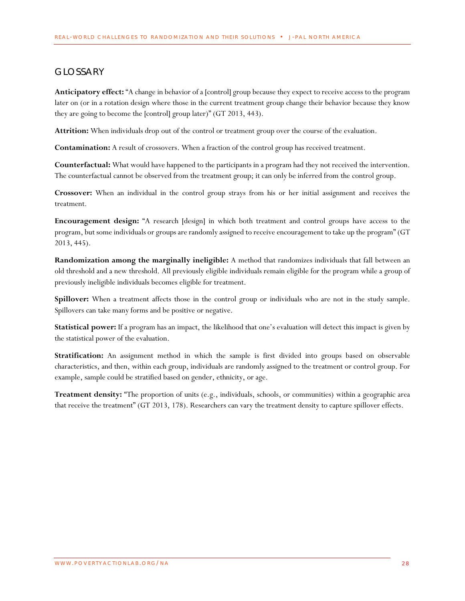# <span id="page-27-0"></span>GLOSSARY

<span id="page-27-2"></span>**Anticipatory effect:** "A change in behavior of a [control] group because they expect to receive access to the program later on (or in a rotation design where those in the current treatment group change their behavior because they know they are going to become the [control] group later)" (GT 2013, 443).

<span id="page-27-9"></span>**Attrition:** When individuals drop out of the control or treatment group over the course of the evaluation.

<span id="page-27-8"></span>**Contamination:** A result of crossovers. When a fraction of the control group has received treatment.

<span id="page-27-1"></span>**Counterfactual:** What would have happened to the participants in a program had they not received the intervention. The counterfactual cannot be observed from the treatment group; it can only be inferred from the control group.

<span id="page-27-7"></span>**Crossover:** When an individual in the control group strays from his or her initial assignment and receives the treatment.

<span id="page-27-4"></span>**Encouragement design:** "A research [design] in which both treatment and control groups have access to the program, but some individuals or groups are randomly assigned to receive encouragement to take up the program" (GT 2013, 445).

<span id="page-27-3"></span>**Randomization among the marginally ineligible:** A method that randomizes individuals that fall between an old threshold and a new threshold. All previously eligible individuals remain eligible for the program while a group of previously ineligible individuals becomes eligible for treatment.

<span id="page-27-5"></span>**Spillover:** When a treatment affects those in the control group or individuals who are not in the study sample. Spillovers can take many forms and be positive or negative.

**Statistical power:** If a program has an impact, the likelihood that one's evaluation will detect this impact is given by the statistical power of the evaluation.

<span id="page-27-6"></span>**Stratification:** An assignment method in which the sample is first divided into groups based on observable characteristics, and then, within each group, individuals are randomly assigned to the treatment or control group. For example, sample could be stratified based on gender, ethnicity, or age.

<span id="page-27-10"></span>**Treatment density:** "The proportion of units (e.g., individuals, schools, or communities) within a geographic area that receive the treatment" (GT 2013, 178). Researchers can vary the treatment density to capture spillover effects.